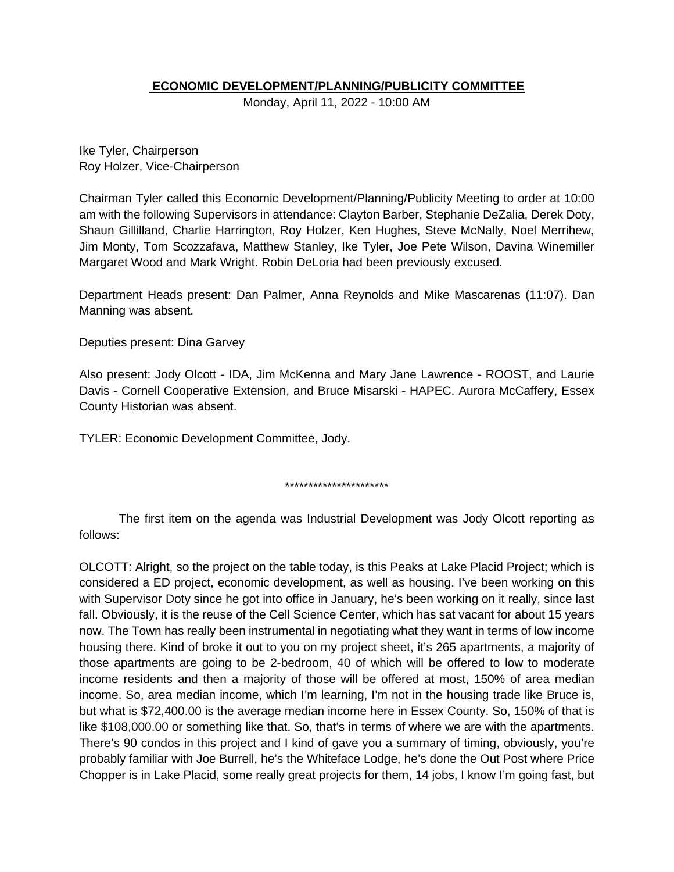# **ECONOMIC DEVELOPMENT/PLANNING/PUBLICITY COMMITTEE**

Monday, April 11, 2022 - 10:00 AM

Ike Tyler, Chairperson Roy Holzer, Vice-Chairperson

Chairman Tyler called this Economic Development/Planning/Publicity Meeting to order at 10:00 am with the following Supervisors in attendance: Clayton Barber, Stephanie DeZalia, Derek Doty, Shaun Gillilland, Charlie Harrington, Roy Holzer, Ken Hughes, Steve McNally, Noel Merrihew, Jim Monty, Tom Scozzafava, Matthew Stanley, Ike Tyler, Joe Pete Wilson, Davina Winemiller Margaret Wood and Mark Wright. Robin DeLoria had been previously excused.

Department Heads present: Dan Palmer, Anna Reynolds and Mike Mascarenas (11:07). Dan Manning was absent.

Deputies present: Dina Garvey

Also present: Jody Olcott - IDA, Jim McKenna and Mary Jane Lawrence - ROOST, and Laurie Davis - Cornell Cooperative Extension, and Bruce Misarski - HAPEC. Aurora McCaffery, Essex County Historian was absent.

TYLER: Economic Development Committee, Jody.

\*\*\*\*\*\*\*\*\*\*\*\*\*\*\*\*\*\*\*\*\*\*

The first item on the agenda was Industrial Development was Jody Olcott reporting as follows:

OLCOTT: Alright, so the project on the table today, is this Peaks at Lake Placid Project; which is considered a ED project, economic development, as well as housing. I've been working on this with Supervisor Doty since he got into office in January, he's been working on it really, since last fall. Obviously, it is the reuse of the Cell Science Center, which has sat vacant for about 15 years now. The Town has really been instrumental in negotiating what they want in terms of low income housing there. Kind of broke it out to you on my project sheet, it's 265 apartments, a majority of those apartments are going to be 2-bedroom, 40 of which will be offered to low to moderate income residents and then a majority of those will be offered at most, 150% of area median income. So, area median income, which I'm learning, I'm not in the housing trade like Bruce is, but what is \$72,400.00 is the average median income here in Essex County. So, 150% of that is like \$108,000.00 or something like that. So, that's in terms of where we are with the apartments. There's 90 condos in this project and I kind of gave you a summary of timing, obviously, you're probably familiar with Joe Burrell, he's the Whiteface Lodge, he's done the Out Post where Price Chopper is in Lake Placid, some really great projects for them, 14 jobs, I know I'm going fast, but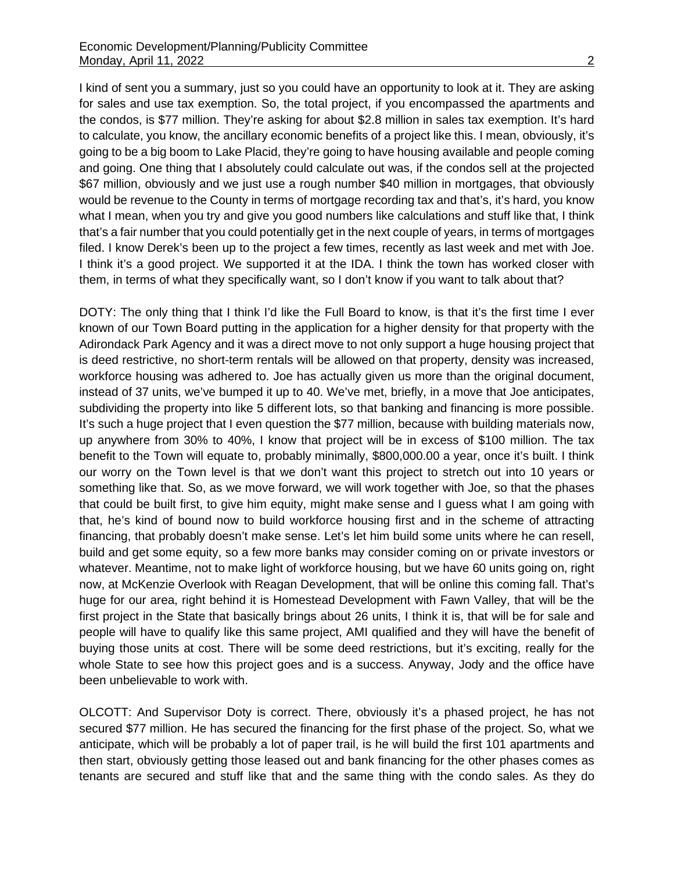I kind of sent you a summary, just so you could have an opportunity to look at it. They are asking for sales and use tax exemption. So, the total project, if you encompassed the apartments and the condos, is \$77 million. They're asking for about \$2.8 million in sales tax exemption. It's hard to calculate, you know, the ancillary economic benefits of a project like this. I mean, obviously, it's going to be a big boom to Lake Placid, they're going to have housing available and people coming and going. One thing that I absolutely could calculate out was, if the condos sell at the projected \$67 million, obviously and we just use a rough number \$40 million in mortgages, that obviously would be revenue to the County in terms of mortgage recording tax and that's, it's hard, you know what I mean, when you try and give you good numbers like calculations and stuff like that, I think that's a fair number that you could potentially get in the next couple of years, in terms of mortgages filed. I know Derek's been up to the project a few times, recently as last week and met with Joe. I think it's a good project. We supported it at the IDA. I think the town has worked closer with them, in terms of what they specifically want, so I don't know if you want to talk about that?

DOTY: The only thing that I think I'd like the Full Board to know, is that it's the first time I ever known of our Town Board putting in the application for a higher density for that property with the Adirondack Park Agency and it was a direct move to not only support a huge housing project that is deed restrictive, no short-term rentals will be allowed on that property, density was increased, workforce housing was adhered to. Joe has actually given us more than the original document, instead of 37 units, we've bumped it up to 40. We've met, briefly, in a move that Joe anticipates, subdividing the property into like 5 different lots, so that banking and financing is more possible. It's such a huge project that I even question the \$77 million, because with building materials now, up anywhere from 30% to 40%, I know that project will be in excess of \$100 million. The tax benefit to the Town will equate to, probably minimally, \$800,000.00 a year, once it's built. I think our worry on the Town level is that we don't want this project to stretch out into 10 years or something like that. So, as we move forward, we will work together with Joe, so that the phases that could be built first, to give him equity, might make sense and I guess what I am going with that, he's kind of bound now to build workforce housing first and in the scheme of attracting financing, that probably doesn't make sense. Let's let him build some units where he can resell, build and get some equity, so a few more banks may consider coming on or private investors or whatever. Meantime, not to make light of workforce housing, but we have 60 units going on, right now, at McKenzie Overlook with Reagan Development, that will be online this coming fall. That's huge for our area, right behind it is Homestead Development with Fawn Valley, that will be the first project in the State that basically brings about 26 units, I think it is, that will be for sale and people will have to qualify like this same project, AMI qualified and they will have the benefit of buying those units at cost. There will be some deed restrictions, but it's exciting, really for the whole State to see how this project goes and is a success. Anyway, Jody and the office have been unbelievable to work with.

OLCOTT: And Supervisor Doty is correct. There, obviously it's a phased project, he has not secured \$77 million. He has secured the financing for the first phase of the project. So, what we anticipate, which will be probably a lot of paper trail, is he will build the first 101 apartments and then start, obviously getting those leased out and bank financing for the other phases comes as tenants are secured and stuff like that and the same thing with the condo sales. As they do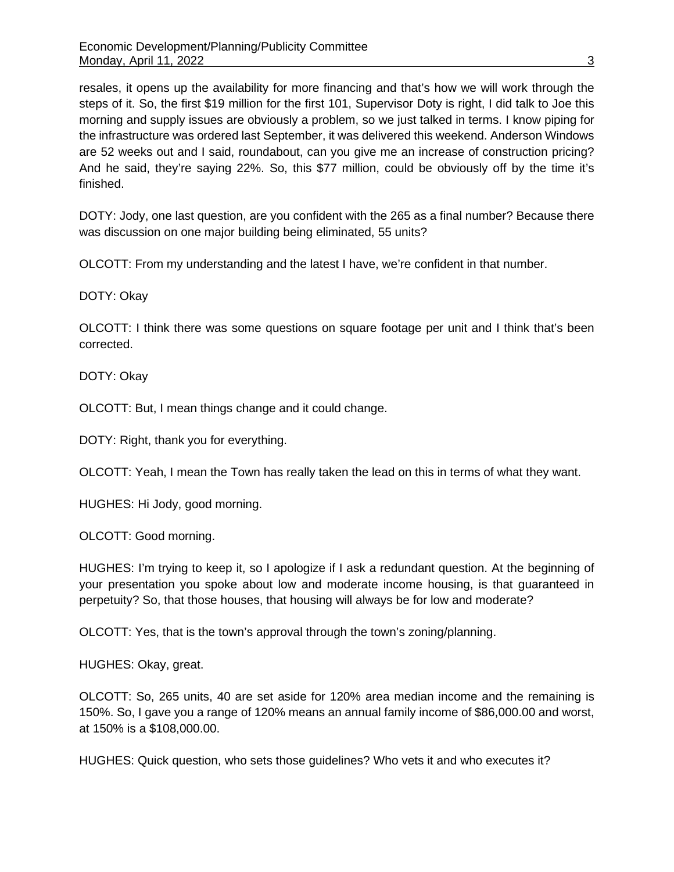resales, it opens up the availability for more financing and that's how we will work through the steps of it. So, the first \$19 million for the first 101, Supervisor Doty is right, I did talk to Joe this morning and supply issues are obviously a problem, so we just talked in terms. I know piping for the infrastructure was ordered last September, it was delivered this weekend. Anderson Windows are 52 weeks out and I said, roundabout, can you give me an increase of construction pricing? And he said, they're saying 22%. So, this \$77 million, could be obviously off by the time it's finished.

DOTY: Jody, one last question, are you confident with the 265 as a final number? Because there was discussion on one major building being eliminated, 55 units?

OLCOTT: From my understanding and the latest I have, we're confident in that number.

DOTY: Okay

OLCOTT: I think there was some questions on square footage per unit and I think that's been corrected.

DOTY: Okay

OLCOTT: But, I mean things change and it could change.

DOTY: Right, thank you for everything.

OLCOTT: Yeah, I mean the Town has really taken the lead on this in terms of what they want.

HUGHES: Hi Jody, good morning.

OLCOTT: Good morning.

HUGHES: I'm trying to keep it, so I apologize if I ask a redundant question. At the beginning of your presentation you spoke about low and moderate income housing, is that guaranteed in perpetuity? So, that those houses, that housing will always be for low and moderate?

OLCOTT: Yes, that is the town's approval through the town's zoning/planning.

HUGHES: Okay, great.

OLCOTT: So, 265 units, 40 are set aside for 120% area median income and the remaining is 150%. So, I gave you a range of 120% means an annual family income of \$86,000.00 and worst, at 150% is a \$108,000.00.

HUGHES: Quick question, who sets those guidelines? Who vets it and who executes it?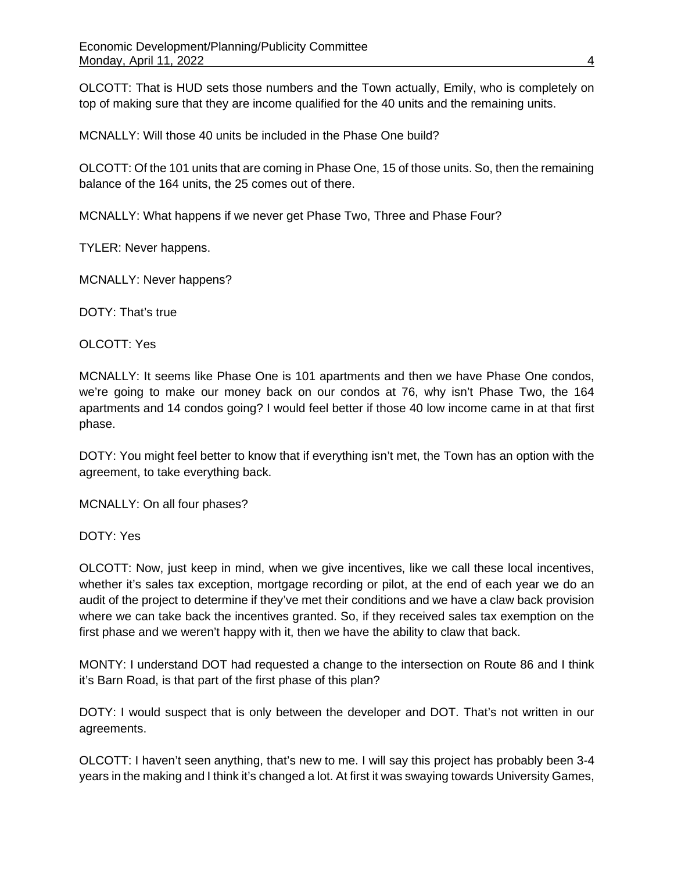OLCOTT: That is HUD sets those numbers and the Town actually, Emily, who is completely on top of making sure that they are income qualified for the 40 units and the remaining units.

MCNALLY: Will those 40 units be included in the Phase One build?

OLCOTT: Of the 101 units that are coming in Phase One, 15 of those units. So, then the remaining balance of the 164 units, the 25 comes out of there.

MCNALLY: What happens if we never get Phase Two, Three and Phase Four?

TYLER: Never happens.

MCNALLY: Never happens?

DOTY: That's true

OLCOTT: Yes

MCNALLY: It seems like Phase One is 101 apartments and then we have Phase One condos, we're going to make our money back on our condos at 76, why isn't Phase Two, the 164 apartments and 14 condos going? I would feel better if those 40 low income came in at that first phase.

DOTY: You might feel better to know that if everything isn't met, the Town has an option with the agreement, to take everything back.

MCNALLY: On all four phases?

DOTY: Yes

OLCOTT: Now, just keep in mind, when we give incentives, like we call these local incentives, whether it's sales tax exception, mortgage recording or pilot, at the end of each year we do an audit of the project to determine if they've met their conditions and we have a claw back provision where we can take back the incentives granted. So, if they received sales tax exemption on the first phase and we weren't happy with it, then we have the ability to claw that back.

MONTY: I understand DOT had requested a change to the intersection on Route 86 and I think it's Barn Road, is that part of the first phase of this plan?

DOTY: I would suspect that is only between the developer and DOT. That's not written in our agreements.

OLCOTT: I haven't seen anything, that's new to me. I will say this project has probably been 3-4 years in the making and I think it's changed a lot. At first it was swaying towards University Games,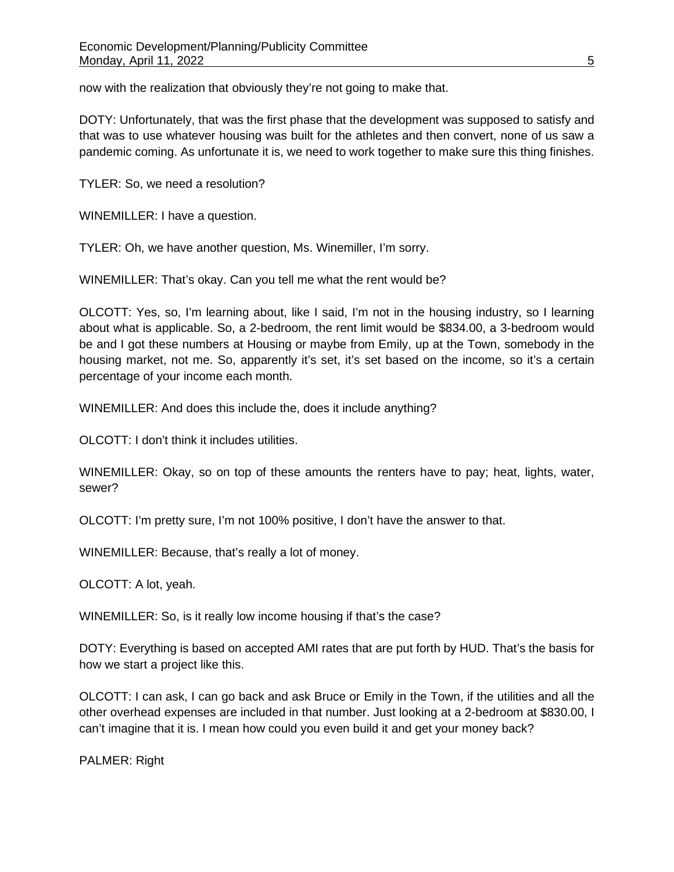now with the realization that obviously they're not going to make that.

DOTY: Unfortunately, that was the first phase that the development was supposed to satisfy and that was to use whatever housing was built for the athletes and then convert, none of us saw a pandemic coming. As unfortunate it is, we need to work together to make sure this thing finishes.

TYLER: So, we need a resolution?

WINEMILLER: I have a question.

TYLER: Oh, we have another question, Ms. Winemiller, I'm sorry.

WINEMILLER: That's okay. Can you tell me what the rent would be?

OLCOTT: Yes, so, I'm learning about, like I said, I'm not in the housing industry, so I learning about what is applicable. So, a 2-bedroom, the rent limit would be \$834.00, a 3-bedroom would be and I got these numbers at Housing or maybe from Emily, up at the Town, somebody in the housing market, not me. So, apparently it's set, it's set based on the income, so it's a certain percentage of your income each month.

WINEMILLER: And does this include the, does it include anything?

OLCOTT: I don't think it includes utilities.

WINEMILLER: Okay, so on top of these amounts the renters have to pay; heat, lights, water, sewer?

OLCOTT: I'm pretty sure, I'm not 100% positive, I don't have the answer to that.

WINEMILLER: Because, that's really a lot of money.

OLCOTT: A lot, yeah.

WINEMILLER: So, is it really low income housing if that's the case?

DOTY: Everything is based on accepted AMI rates that are put forth by HUD. That's the basis for how we start a project like this.

OLCOTT: I can ask, I can go back and ask Bruce or Emily in the Town, if the utilities and all the other overhead expenses are included in that number. Just looking at a 2-bedroom at \$830.00, I can't imagine that it is. I mean how could you even build it and get your money back?

PALMER: Right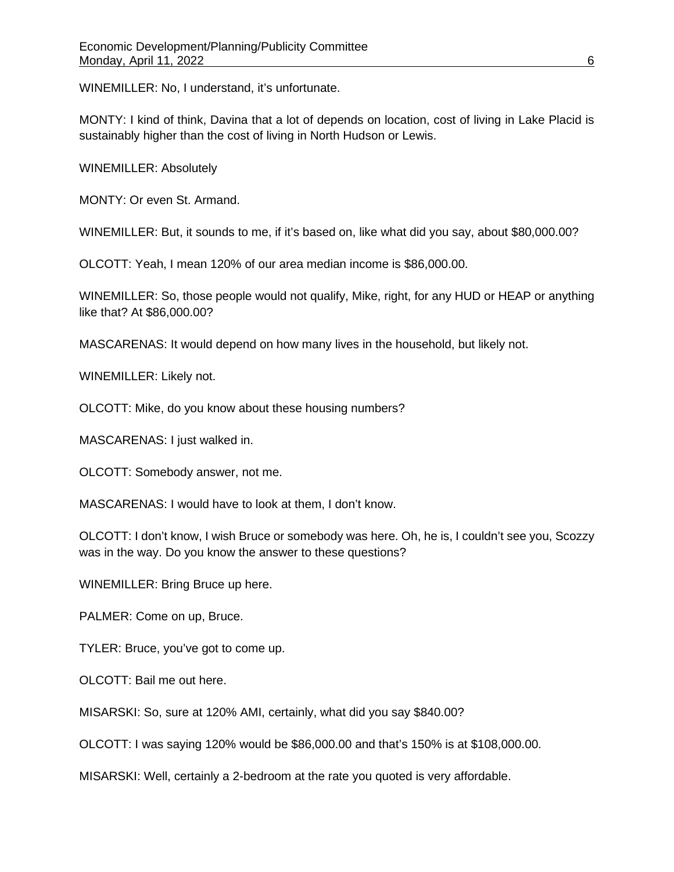WINEMILLER: No, I understand, it's unfortunate.

MONTY: I kind of think, Davina that a lot of depends on location, cost of living in Lake Placid is sustainably higher than the cost of living in North Hudson or Lewis.

WINEMILLER: Absolutely

MONTY: Or even St. Armand.

WINEMILLER: But, it sounds to me, if it's based on, like what did you say, about \$80,000.00?

OLCOTT: Yeah, I mean 120% of our area median income is \$86,000.00.

WINEMILLER: So, those people would not qualify, Mike, right, for any HUD or HEAP or anything like that? At \$86,000.00?

MASCARENAS: It would depend on how many lives in the household, but likely not.

WINEMILLER: Likely not.

OLCOTT: Mike, do you know about these housing numbers?

MASCARENAS: I just walked in.

OLCOTT: Somebody answer, not me.

MASCARENAS: I would have to look at them, I don't know.

OLCOTT: I don't know, I wish Bruce or somebody was here. Oh, he is, I couldn't see you, Scozzy was in the way. Do you know the answer to these questions?

WINEMILLER: Bring Bruce up here.

PALMER: Come on up, Bruce.

TYLER: Bruce, you've got to come up.

OLCOTT: Bail me out here.

MISARSKI: So, sure at 120% AMI, certainly, what did you say \$840.00?

OLCOTT: I was saying 120% would be \$86,000.00 and that's 150% is at \$108,000.00.

MISARSKI: Well, certainly a 2-bedroom at the rate you quoted is very affordable.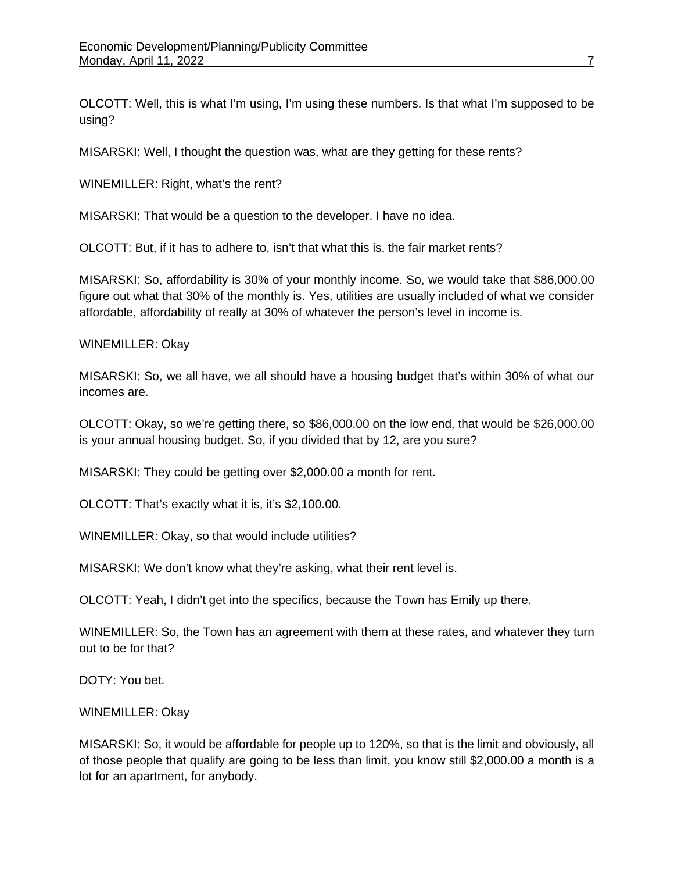OLCOTT: Well, this is what I'm using, I'm using these numbers. Is that what I'm supposed to be using?

MISARSKI: Well, I thought the question was, what are they getting for these rents?

WINEMILLER: Right, what's the rent?

MISARSKI: That would be a question to the developer. I have no idea.

OLCOTT: But, if it has to adhere to, isn't that what this is, the fair market rents?

MISARSKI: So, affordability is 30% of your monthly income. So, we would take that \$86,000.00 figure out what that 30% of the monthly is. Yes, utilities are usually included of what we consider affordable, affordability of really at 30% of whatever the person's level in income is.

### WINEMILLER: Okay

MISARSKI: So, we all have, we all should have a housing budget that's within 30% of what our incomes are.

OLCOTT: Okay, so we're getting there, so \$86,000.00 on the low end, that would be \$26,000.00 is your annual housing budget. So, if you divided that by 12, are you sure?

MISARSKI: They could be getting over \$2,000.00 a month for rent.

OLCOTT: That's exactly what it is, it's \$2,100.00.

WINEMILLER: Okay, so that would include utilities?

MISARSKI: We don't know what they're asking, what their rent level is.

OLCOTT: Yeah, I didn't get into the specifics, because the Town has Emily up there.

WINEMILLER: So, the Town has an agreement with them at these rates, and whatever they turn out to be for that?

DOTY: You bet.

WINEMILLER: Okay

MISARSKI: So, it would be affordable for people up to 120%, so that is the limit and obviously, all of those people that qualify are going to be less than limit, you know still \$2,000.00 a month is a lot for an apartment, for anybody.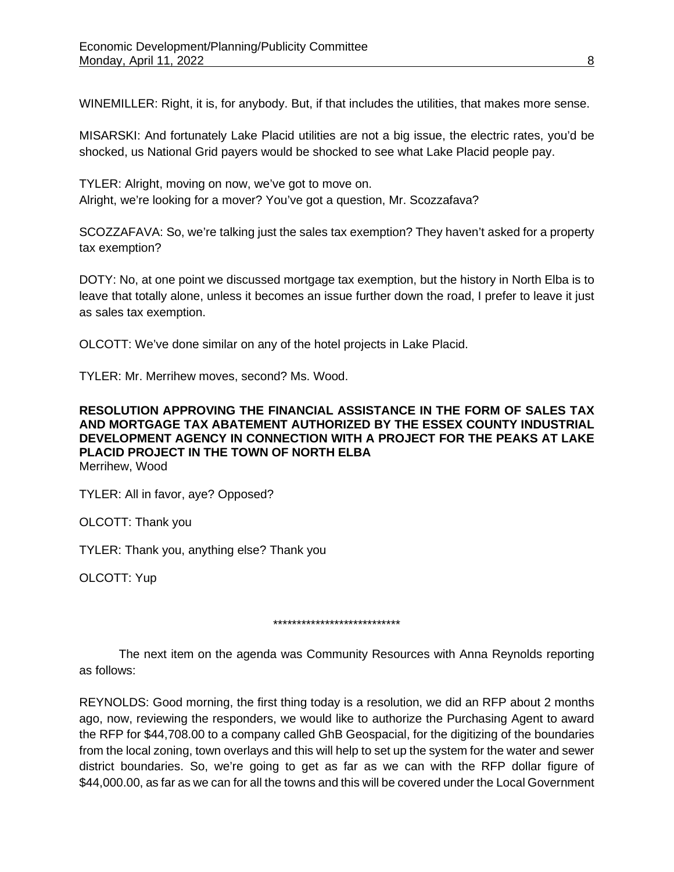WINEMILLER: Right, it is, for anybody. But, if that includes the utilities, that makes more sense.

MISARSKI: And fortunately Lake Placid utilities are not a big issue, the electric rates, you'd be shocked, us National Grid payers would be shocked to see what Lake Placid people pay.

TYLER: Alright, moving on now, we've got to move on. Alright, we're looking for a mover? You've got a question, Mr. Scozzafava?

SCOZZAFAVA: So, we're talking just the sales tax exemption? They haven't asked for a property tax exemption?

DOTY: No, at one point we discussed mortgage tax exemption, but the history in North Elba is to leave that totally alone, unless it becomes an issue further down the road, I prefer to leave it just as sales tax exemption.

OLCOTT: We've done similar on any of the hotel projects in Lake Placid.

TYLER: Mr. Merrihew moves, second? Ms. Wood.

### **RESOLUTION APPROVING THE FINANCIAL ASSISTANCE IN THE FORM OF SALES TAX AND MORTGAGE TAX ABATEMENT AUTHORIZED BY THE ESSEX COUNTY INDUSTRIAL DEVELOPMENT AGENCY IN CONNECTION WITH A PROJECT FOR THE PEAKS AT LAKE PLACID PROJECT IN THE TOWN OF NORTH ELBA** Merrihew, Wood

TYLER: All in favor, aye? Opposed?

OLCOTT: Thank you

TYLER: Thank you, anything else? Thank you

OLCOTT: Yup

### \*\*\*\*\*\*\*\*\*\*\*\*\*\*\*\*\*\*\*\*\*\*\*\*\*\*\*

The next item on the agenda was Community Resources with Anna Reynolds reporting as follows:

REYNOLDS: Good morning, the first thing today is a resolution, we did an RFP about 2 months ago, now, reviewing the responders, we would like to authorize the Purchasing Agent to award the RFP for \$44,708.00 to a company called GhB Geospacial, for the digitizing of the boundaries from the local zoning, town overlays and this will help to set up the system for the water and sewer district boundaries. So, we're going to get as far as we can with the RFP dollar figure of \$44,000.00, as far as we can for all the towns and this will be covered under the Local Government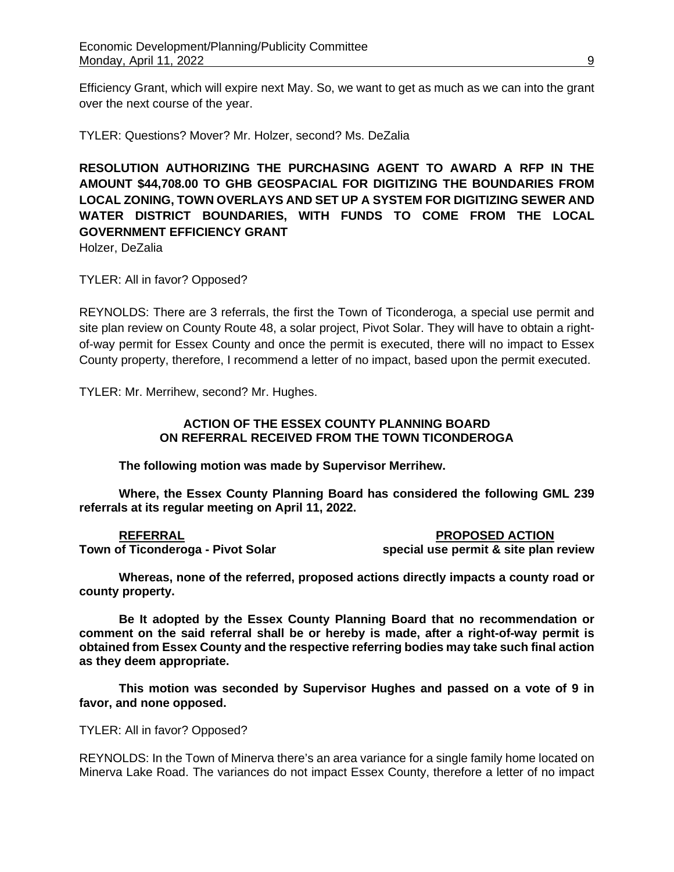Efficiency Grant, which will expire next May. So, we want to get as much as we can into the grant over the next course of the year.

TYLER: Questions? Mover? Mr. Holzer, second? Ms. DeZalia

**RESOLUTION AUTHORIZING THE PURCHASING AGENT TO AWARD A RFP IN THE AMOUNT \$44,708.00 TO GHB GEOSPACIAL FOR DIGITIZING THE BOUNDARIES FROM LOCAL ZONING, TOWN OVERLAYS AND SET UP A SYSTEM FOR DIGITIZING SEWER AND WATER DISTRICT BOUNDARIES, WITH FUNDS TO COME FROM THE LOCAL GOVERNMENT EFFICIENCY GRANT** 

Holzer, DeZalia

TYLER: All in favor? Opposed?

REYNOLDS: There are 3 referrals, the first the Town of Ticonderoga, a special use permit and site plan review on County Route 48, a solar project, Pivot Solar. They will have to obtain a rightof-way permit for Essex County and once the permit is executed, there will no impact to Essex County property, therefore, I recommend a letter of no impact, based upon the permit executed.

TYLER: Mr. Merrihew, second? Mr. Hughes.

## **ACTION OF THE ESSEX COUNTY PLANNING BOARD ON REFERRAL RECEIVED FROM THE TOWN TICONDEROGA**

**The following motion was made by Supervisor Merrihew.**

**Where, the Essex County Planning Board has considered the following GML 239 referrals at its regular meeting on April 11, 2022.**

**REFERRAL PROPOSED ACTION Town of Ticonderoga - Pivot Solar special use permit & site plan review** 

**Whereas, none of the referred, proposed actions directly impacts a county road or county property.**

**Be It adopted by the Essex County Planning Board that no recommendation or comment on the said referral shall be or hereby is made, after a right-of-way permit is obtained from Essex County and the respective referring bodies may take such final action as they deem appropriate.**

**This motion was seconded by Supervisor Hughes and passed on a vote of 9 in favor, and none opposed.**

TYLER: All in favor? Opposed?

REYNOLDS: In the Town of Minerva there's an area variance for a single family home located on Minerva Lake Road. The variances do not impact Essex County, therefore a letter of no impact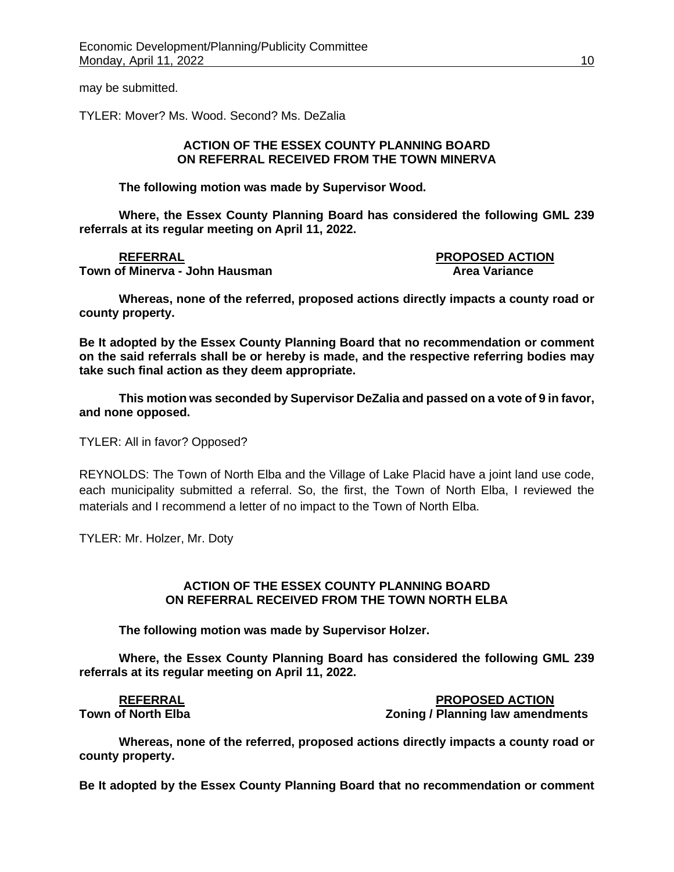may be submitted.

TYLER: Mover? Ms. Wood. Second? Ms. DeZalia

### **ACTION OF THE ESSEX COUNTY PLANNING BOARD ON REFERRAL RECEIVED FROM THE TOWN MINERVA**

**The following motion was made by Supervisor Wood.**

**Where, the Essex County Planning Board has considered the following GML 239 referrals at its regular meeting on April 11, 2022.**

### **REFERRAL PROPOSED ACTION Town of Minerva - John Hausman Area Variance Area Variance**

**Whereas, none of the referred, proposed actions directly impacts a county road or county property.**

**Be It adopted by the Essex County Planning Board that no recommendation or comment on the said referrals shall be or hereby is made, and the respective referring bodies may take such final action as they deem appropriate.**

**This motion was seconded by Supervisor DeZalia and passed on a vote of 9 in favor, and none opposed.**

TYLER: All in favor? Opposed?

REYNOLDS: The Town of North Elba and the Village of Lake Placid have a joint land use code, each municipality submitted a referral. So, the first, the Town of North Elba, I reviewed the materials and I recommend a letter of no impact to the Town of North Elba.

TYLER: Mr. Holzer, Mr. Doty

### **ACTION OF THE ESSEX COUNTY PLANNING BOARD ON REFERRAL RECEIVED FROM THE TOWN NORTH ELBA**

**The following motion was made by Supervisor Holzer.**

**Where, the Essex County Planning Board has considered the following GML 239 referrals at its regular meeting on April 11, 2022.**

**REFERRAL PROPOSED ACTION Town of North Elba Zoning / Planning law amendments** 

**Whereas, none of the referred, proposed actions directly impacts a county road or county property.**

**Be It adopted by the Essex County Planning Board that no recommendation or comment**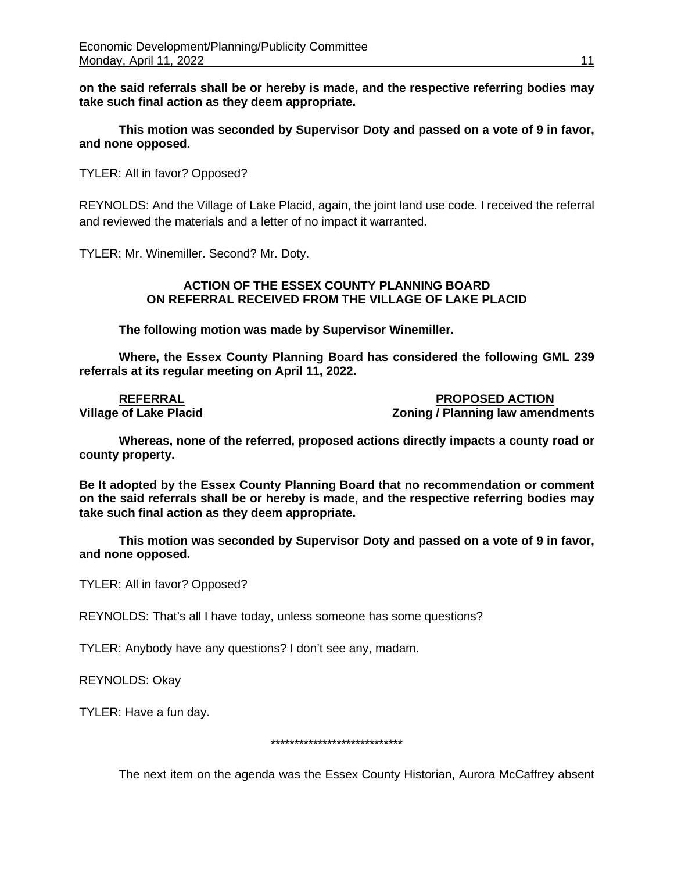**on the said referrals shall be or hereby is made, and the respective referring bodies may take such final action as they deem appropriate.**

**This motion was seconded by Supervisor Doty and passed on a vote of 9 in favor, and none opposed.**

TYLER: All in favor? Opposed?

REYNOLDS: And the Village of Lake Placid, again, the joint land use code. I received the referral and reviewed the materials and a letter of no impact it warranted.

TYLER: Mr. Winemiller. Second? Mr. Doty.

## **ACTION OF THE ESSEX COUNTY PLANNING BOARD ON REFERRAL RECEIVED FROM THE VILLAGE OF LAKE PLACID**

**The following motion was made by Supervisor Winemiller.**

**Where, the Essex County Planning Board has considered the following GML 239 referrals at its regular meeting on April 11, 2022.**

**REFERRAL PROPOSED ACTION Zoning / Planning law amendments** 

**Whereas, none of the referred, proposed actions directly impacts a county road or county property.**

**Be It adopted by the Essex County Planning Board that no recommendation or comment on the said referrals shall be or hereby is made, and the respective referring bodies may take such final action as they deem appropriate.**

**This motion was seconded by Supervisor Doty and passed on a vote of 9 in favor, and none opposed.**

TYLER: All in favor? Opposed?

REYNOLDS: That's all I have today, unless someone has some questions?

TYLER: Anybody have any questions? I don't see any, madam.

REYNOLDS: Okay

TYLER: Have a fun day.

\*\*\*\*\*\*\*\*\*\*\*\*\*\*\*\*\*\*\*\*\*\*\*\*\*\*\*\*

The next item on the agenda was the Essex County Historian, Aurora McCaffrey absent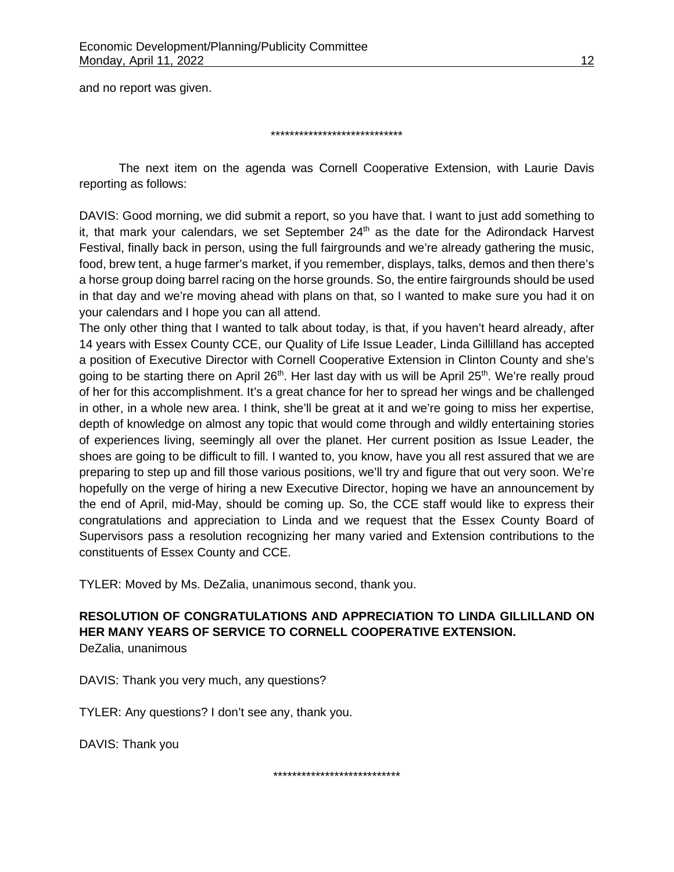and no report was given.

\*\*\*\*\*\*\*\*\*\*\*\*\*\*\*\*\*\*\*\*\*\*\*\*\*\*\*\*

The next item on the agenda was Cornell Cooperative Extension, with Laurie Davis reporting as follows:

DAVIS: Good morning, we did submit a report, so you have that. I want to just add something to it, that mark your calendars, we set September  $24<sup>th</sup>$  as the date for the Adirondack Harvest Festival, finally back in person, using the full fairgrounds and we're already gathering the music, food, brew tent, a huge farmer's market, if you remember, displays, talks, demos and then there's a horse group doing barrel racing on the horse grounds. So, the entire fairgrounds should be used in that day and we're moving ahead with plans on that, so I wanted to make sure you had it on your calendars and I hope you can all attend.

The only other thing that I wanted to talk about today, is that, if you haven't heard already, after 14 years with Essex County CCE, our Quality of Life Issue Leader, Linda Gillilland has accepted a position of Executive Director with Cornell Cooperative Extension in Clinton County and she's going to be starting there on April 26<sup>th</sup>. Her last day with us will be April 25<sup>th</sup>. We're really proud of her for this accomplishment. It's a great chance for her to spread her wings and be challenged in other, in a whole new area. I think, she'll be great at it and we're going to miss her expertise, depth of knowledge on almost any topic that would come through and wildly entertaining stories of experiences living, seemingly all over the planet. Her current position as Issue Leader, the shoes are going to be difficult to fill. I wanted to, you know, have you all rest assured that we are preparing to step up and fill those various positions, we'll try and figure that out very soon. We're hopefully on the verge of hiring a new Executive Director, hoping we have an announcement by the end of April, mid-May, should be coming up. So, the CCE staff would like to express their congratulations and appreciation to Linda and we request that the Essex County Board of Supervisors pass a resolution recognizing her many varied and Extension contributions to the constituents of Essex County and CCE.

TYLER: Moved by Ms. DeZalia, unanimous second, thank you.

**RESOLUTION OF CONGRATULATIONS AND APPRECIATION TO LINDA GILLILLAND ON HER MANY YEARS OF SERVICE TO CORNELL COOPERATIVE EXTENSION.**  DeZalia, unanimous

DAVIS: Thank you very much, any questions?

TYLER: Any questions? I don't see any, thank you.

DAVIS: Thank you

\*\*\*\*\*\*\*\*\*\*\*\*\*\*\*\*\*\*\*\*\*\*\*\*\*\*\*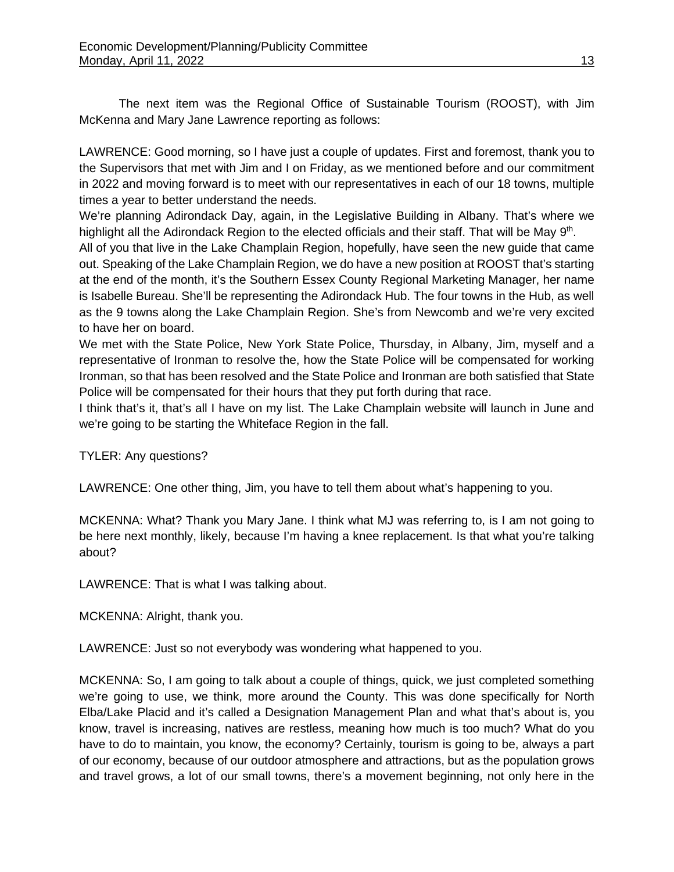The next item was the Regional Office of Sustainable Tourism (ROOST), with Jim McKenna and Mary Jane Lawrence reporting as follows:

LAWRENCE: Good morning, so I have just a couple of updates. First and foremost, thank you to the Supervisors that met with Jim and I on Friday, as we mentioned before and our commitment in 2022 and moving forward is to meet with our representatives in each of our 18 towns, multiple times a year to better understand the needs.

We're planning Adirondack Day, again, in the Legislative Building in Albany. That's where we highlight all the Adirondack Region to the elected officials and their staff. That will be May 9<sup>th</sup>.

All of you that live in the Lake Champlain Region, hopefully, have seen the new guide that came out. Speaking of the Lake Champlain Region, we do have a new position at ROOST that's starting at the end of the month, it's the Southern Essex County Regional Marketing Manager, her name is Isabelle Bureau. She'll be representing the Adirondack Hub. The four towns in the Hub, as well as the 9 towns along the Lake Champlain Region. She's from Newcomb and we're very excited to have her on board.

We met with the State Police, New York State Police, Thursday, in Albany, Jim, myself and a representative of Ironman to resolve the, how the State Police will be compensated for working Ironman, so that has been resolved and the State Police and Ironman are both satisfied that State Police will be compensated for their hours that they put forth during that race.

I think that's it, that's all I have on my list. The Lake Champlain website will launch in June and we're going to be starting the Whiteface Region in the fall.

TYLER: Any questions?

LAWRENCE: One other thing, Jim, you have to tell them about what's happening to you.

MCKENNA: What? Thank you Mary Jane. I think what MJ was referring to, is I am not going to be here next monthly, likely, because I'm having a knee replacement. Is that what you're talking about?

LAWRENCE: That is what I was talking about.

MCKENNA: Alright, thank you.

LAWRENCE: Just so not everybody was wondering what happened to you.

MCKENNA: So, I am going to talk about a couple of things, quick, we just completed something we're going to use, we think, more around the County. This was done specifically for North Elba/Lake Placid and it's called a Designation Management Plan and what that's about is, you know, travel is increasing, natives are restless, meaning how much is too much? What do you have to do to maintain, you know, the economy? Certainly, tourism is going to be, always a part of our economy, because of our outdoor atmosphere and attractions, but as the population grows and travel grows, a lot of our small towns, there's a movement beginning, not only here in the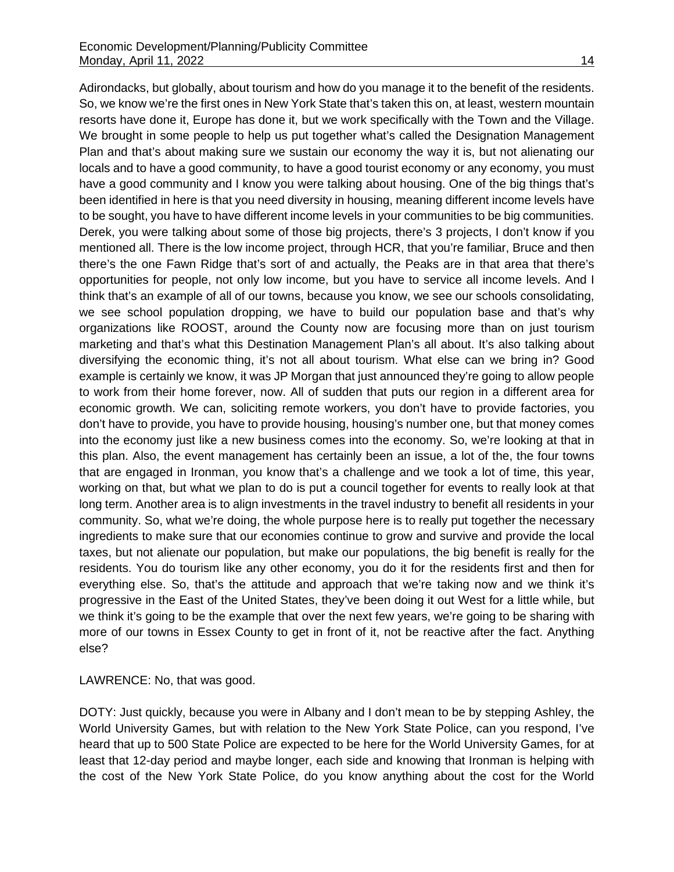Adirondacks, but globally, about tourism and how do you manage it to the benefit of the residents. So, we know we're the first ones in New York State that's taken this on, at least, western mountain resorts have done it, Europe has done it, but we work specifically with the Town and the Village. We brought in some people to help us put together what's called the Designation Management Plan and that's about making sure we sustain our economy the way it is, but not alienating our locals and to have a good community, to have a good tourist economy or any economy, you must have a good community and I know you were talking about housing. One of the big things that's been identified in here is that you need diversity in housing, meaning different income levels have to be sought, you have to have different income levels in your communities to be big communities. Derek, you were talking about some of those big projects, there's 3 projects, I don't know if you mentioned all. There is the low income project, through HCR, that you're familiar, Bruce and then there's the one Fawn Ridge that's sort of and actually, the Peaks are in that area that there's opportunities for people, not only low income, but you have to service all income levels. And I think that's an example of all of our towns, because you know, we see our schools consolidating, we see school population dropping, we have to build our population base and that's why organizations like ROOST, around the County now are focusing more than on just tourism marketing and that's what this Destination Management Plan's all about. It's also talking about diversifying the economic thing, it's not all about tourism. What else can we bring in? Good example is certainly we know, it was JP Morgan that just announced they're going to allow people to work from their home forever, now. All of sudden that puts our region in a different area for economic growth. We can, soliciting remote workers, you don't have to provide factories, you don't have to provide, you have to provide housing, housing's number one, but that money comes into the economy just like a new business comes into the economy. So, we're looking at that in this plan. Also, the event management has certainly been an issue, a lot of the, the four towns that are engaged in Ironman, you know that's a challenge and we took a lot of time, this year, working on that, but what we plan to do is put a council together for events to really look at that long term. Another area is to align investments in the travel industry to benefit all residents in your community. So, what we're doing, the whole purpose here is to really put together the necessary ingredients to make sure that our economies continue to grow and survive and provide the local taxes, but not alienate our population, but make our populations, the big benefit is really for the residents. You do tourism like any other economy, you do it for the residents first and then for everything else. So, that's the attitude and approach that we're taking now and we think it's progressive in the East of the United States, they've been doing it out West for a little while, but we think it's going to be the example that over the next few years, we're going to be sharing with more of our towns in Essex County to get in front of it, not be reactive after the fact. Anything else?

LAWRENCE: No, that was good.

DOTY: Just quickly, because you were in Albany and I don't mean to be by stepping Ashley, the World University Games, but with relation to the New York State Police, can you respond, I've heard that up to 500 State Police are expected to be here for the World University Games, for at least that 12-day period and maybe longer, each side and knowing that Ironman is helping with the cost of the New York State Police, do you know anything about the cost for the World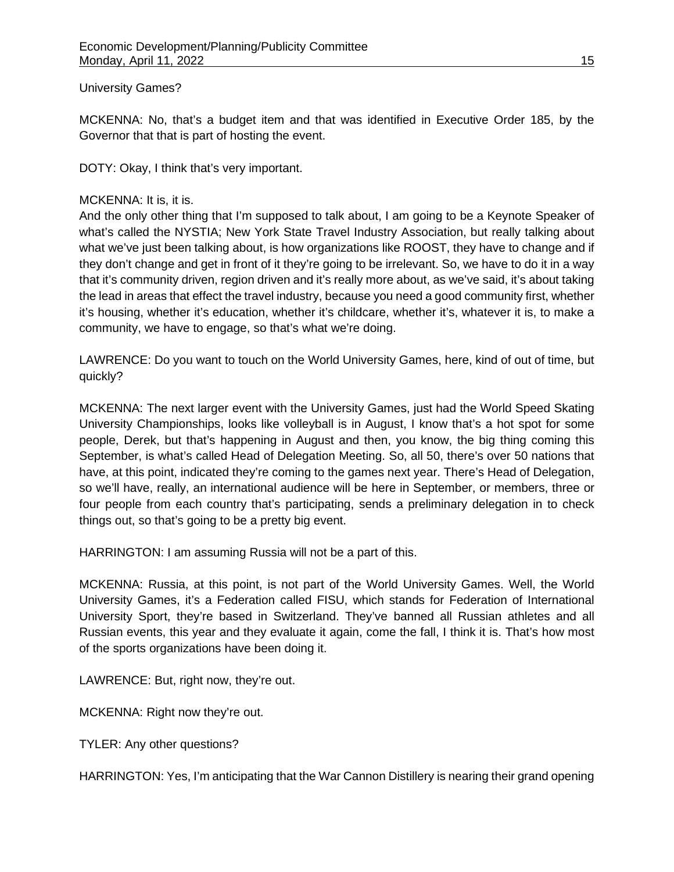## University Games?

MCKENNA: No, that's a budget item and that was identified in Executive Order 185, by the Governor that that is part of hosting the event.

DOTY: Okay, I think that's very important.

# MCKENNA: It is, it is.

And the only other thing that I'm supposed to talk about, I am going to be a Keynote Speaker of what's called the NYSTIA; New York State Travel Industry Association, but really talking about what we've just been talking about, is how organizations like ROOST, they have to change and if they don't change and get in front of it they're going to be irrelevant. So, we have to do it in a way that it's community driven, region driven and it's really more about, as we've said, it's about taking the lead in areas that effect the travel industry, because you need a good community first, whether it's housing, whether it's education, whether it's childcare, whether it's, whatever it is, to make a community, we have to engage, so that's what we're doing.

LAWRENCE: Do you want to touch on the World University Games, here, kind of out of time, but quickly?

MCKENNA: The next larger event with the University Games, just had the World Speed Skating University Championships, looks like volleyball is in August, I know that's a hot spot for some people, Derek, but that's happening in August and then, you know, the big thing coming this September, is what's called Head of Delegation Meeting. So, all 50, there's over 50 nations that have, at this point, indicated they're coming to the games next year. There's Head of Delegation, so we'll have, really, an international audience will be here in September, or members, three or four people from each country that's participating, sends a preliminary delegation in to check things out, so that's going to be a pretty big event.

HARRINGTON: I am assuming Russia will not be a part of this.

MCKENNA: Russia, at this point, is not part of the World University Games. Well, the World University Games, it's a Federation called FISU, which stands for Federation of International University Sport, they're based in Switzerland. They've banned all Russian athletes and all Russian events, this year and they evaluate it again, come the fall, I think it is. That's how most of the sports organizations have been doing it.

LAWRENCE: But, right now, they're out.

MCKENNA: Right now they're out.

TYLER: Any other questions?

HARRINGTON: Yes, I'm anticipating that the War Cannon Distillery is nearing their grand opening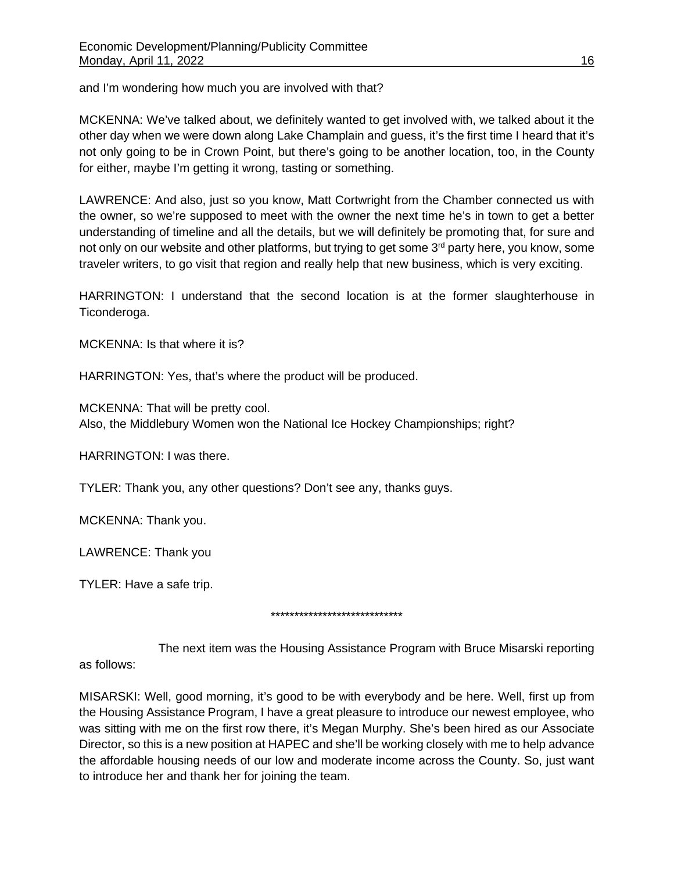and I'm wondering how much you are involved with that?

MCKENNA: We've talked about, we definitely wanted to get involved with, we talked about it the other day when we were down along Lake Champlain and guess, it's the first time I heard that it's not only going to be in Crown Point, but there's going to be another location, too, in the County for either, maybe I'm getting it wrong, tasting or something.

LAWRENCE: And also, just so you know, Matt Cortwright from the Chamber connected us with the owner, so we're supposed to meet with the owner the next time he's in town to get a better understanding of timeline and all the details, but we will definitely be promoting that, for sure and not only on our website and other platforms, but trying to get some 3<sup>rd</sup> party here, you know, some traveler writers, to go visit that region and really help that new business, which is very exciting.

HARRINGTON: I understand that the second location is at the former slaughterhouse in Ticonderoga.

MCKENNA: Is that where it is?

HARRINGTON: Yes, that's where the product will be produced.

MCKENNA: That will be pretty cool.

Also, the Middlebury Women won the National Ice Hockey Championships; right?

HARRINGTON: I was there.

TYLER: Thank you, any other questions? Don't see any, thanks guys.

MCKENNA: Thank you.

LAWRENCE: Thank you

TYLER: Have a safe trip.

\*\*\*\*\*\*\*\*\*\*\*\*\*\*\*\*\*\*\*\*\*\*\*\*\*\*\*\*

The next item was the Housing Assistance Program with Bruce Misarski reporting as follows:

MISARSKI: Well, good morning, it's good to be with everybody and be here. Well, first up from the Housing Assistance Program, I have a great pleasure to introduce our newest employee, who was sitting with me on the first row there, it's Megan Murphy. She's been hired as our Associate Director, so this is a new position at HAPEC and she'll be working closely with me to help advance the affordable housing needs of our low and moderate income across the County. So, just want to introduce her and thank her for joining the team.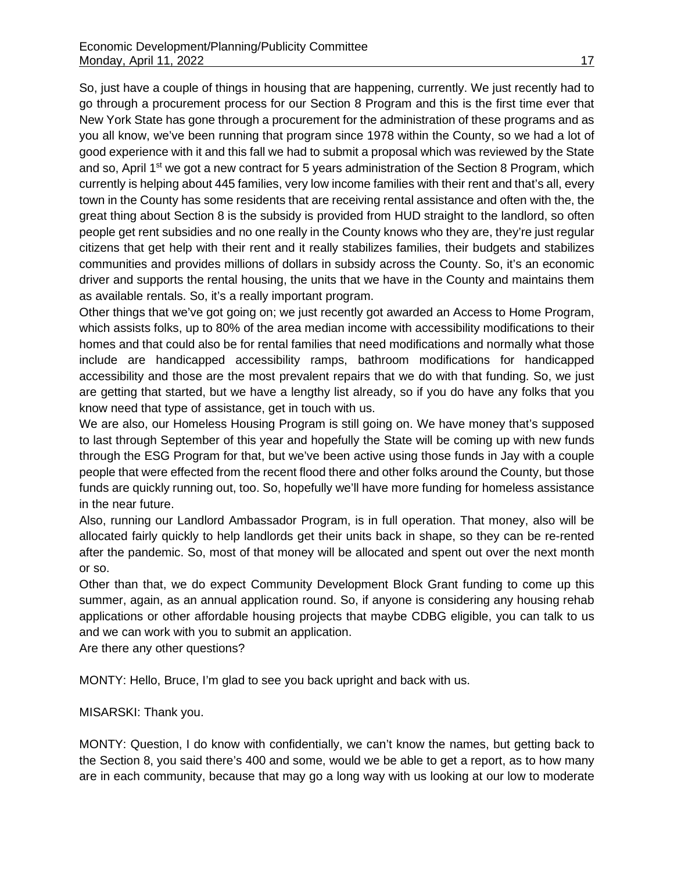So, just have a couple of things in housing that are happening, currently. We just recently had to go through a procurement process for our Section 8 Program and this is the first time ever that New York State has gone through a procurement for the administration of these programs and as you all know, we've been running that program since 1978 within the County, so we had a lot of good experience with it and this fall we had to submit a proposal which was reviewed by the State and so, April 1<sup>st</sup> we got a new contract for 5 years administration of the Section 8 Program, which currently is helping about 445 families, very low income families with their rent and that's all, every town in the County has some residents that are receiving rental assistance and often with the, the great thing about Section 8 is the subsidy is provided from HUD straight to the landlord, so often people get rent subsidies and no one really in the County knows who they are, they're just regular citizens that get help with their rent and it really stabilizes families, their budgets and stabilizes communities and provides millions of dollars in subsidy across the County. So, it's an economic driver and supports the rental housing, the units that we have in the County and maintains them as available rentals. So, it's a really important program.

Other things that we've got going on; we just recently got awarded an Access to Home Program, which assists folks, up to 80% of the area median income with accessibility modifications to their homes and that could also be for rental families that need modifications and normally what those include are handicapped accessibility ramps, bathroom modifications for handicapped accessibility and those are the most prevalent repairs that we do with that funding. So, we just are getting that started, but we have a lengthy list already, so if you do have any folks that you know need that type of assistance, get in touch with us.

We are also, our Homeless Housing Program is still going on. We have money that's supposed to last through September of this year and hopefully the State will be coming up with new funds through the ESG Program for that, but we've been active using those funds in Jay with a couple people that were effected from the recent flood there and other folks around the County, but those funds are quickly running out, too. So, hopefully we'll have more funding for homeless assistance in the near future.

Also, running our Landlord Ambassador Program, is in full operation. That money, also will be allocated fairly quickly to help landlords get their units back in shape, so they can be re-rented after the pandemic. So, most of that money will be allocated and spent out over the next month or so.

Other than that, we do expect Community Development Block Grant funding to come up this summer, again, as an annual application round. So, if anyone is considering any housing rehab applications or other affordable housing projects that maybe CDBG eligible, you can talk to us and we can work with you to submit an application.

Are there any other questions?

MONTY: Hello, Bruce, I'm glad to see you back upright and back with us.

MISARSKI: Thank you.

MONTY: Question, I do know with confidentially, we can't know the names, but getting back to the Section 8, you said there's 400 and some, would we be able to get a report, as to how many are in each community, because that may go a long way with us looking at our low to moderate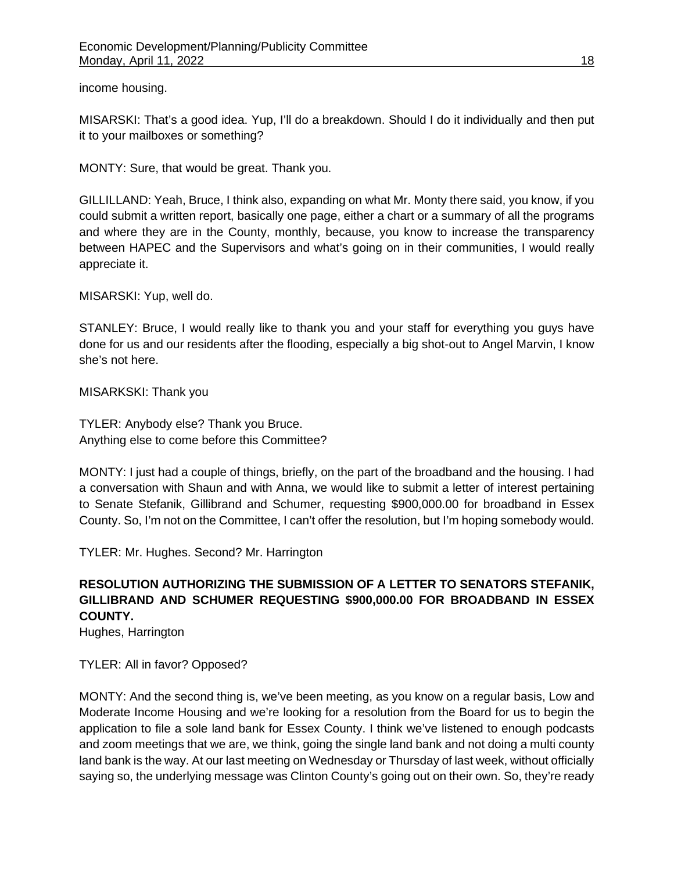income housing.

MISARSKI: That's a good idea. Yup, I'll do a breakdown. Should I do it individually and then put it to your mailboxes or something?

MONTY: Sure, that would be great. Thank you.

GILLILLAND: Yeah, Bruce, I think also, expanding on what Mr. Monty there said, you know, if you could submit a written report, basically one page, either a chart or a summary of all the programs and where they are in the County, monthly, because, you know to increase the transparency between HAPEC and the Supervisors and what's going on in their communities, I would really appreciate it.

MISARSKI: Yup, well do.

STANLEY: Bruce, I would really like to thank you and your staff for everything you guys have done for us and our residents after the flooding, especially a big shot-out to Angel Marvin, I know she's not here.

MISARKSKI: Thank you

TYLER: Anybody else? Thank you Bruce. Anything else to come before this Committee?

MONTY: I just had a couple of things, briefly, on the part of the broadband and the housing. I had a conversation with Shaun and with Anna, we would like to submit a letter of interest pertaining to Senate Stefanik, Gillibrand and Schumer, requesting \$900,000.00 for broadband in Essex County. So, I'm not on the Committee, I can't offer the resolution, but I'm hoping somebody would.

TYLER: Mr. Hughes. Second? Mr. Harrington

# **RESOLUTION AUTHORIZING THE SUBMISSION OF A LETTER TO SENATORS STEFANIK, GILLIBRAND AND SCHUMER REQUESTING \$900,000.00 FOR BROADBAND IN ESSEX COUNTY.**

Hughes, Harrington

TYLER: All in favor? Opposed?

MONTY: And the second thing is, we've been meeting, as you know on a regular basis, Low and Moderate Income Housing and we're looking for a resolution from the Board for us to begin the application to file a sole land bank for Essex County. I think we've listened to enough podcasts and zoom meetings that we are, we think, going the single land bank and not doing a multi county land bank is the way. At our last meeting on Wednesday or Thursday of last week, without officially saying so, the underlying message was Clinton County's going out on their own. So, they're ready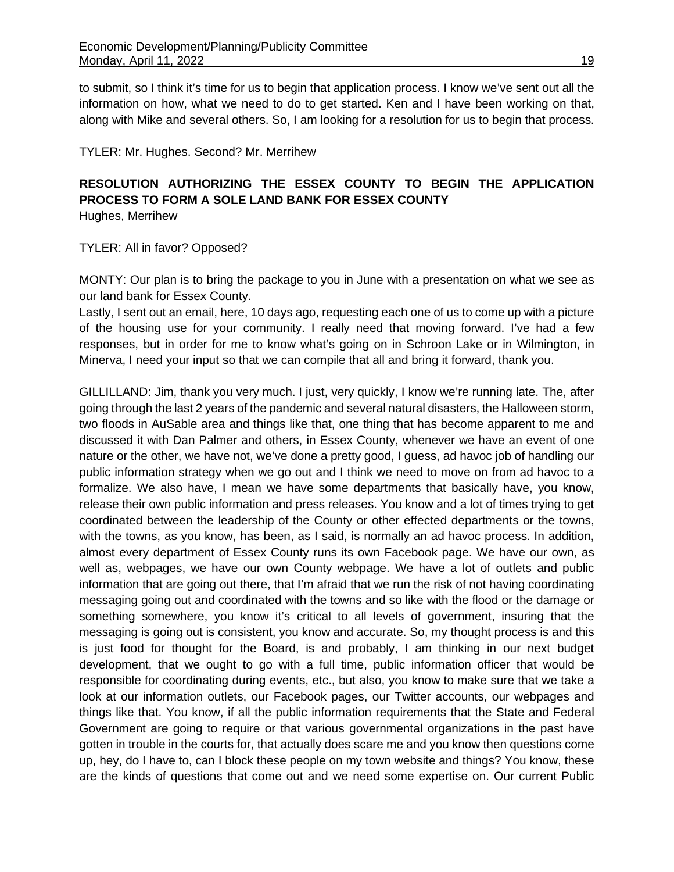to submit, so I think it's time for us to begin that application process. I know we've sent out all the information on how, what we need to do to get started. Ken and I have been working on that, along with Mike and several others. So, I am looking for a resolution for us to begin that process.

## TYLER: Mr. Hughes. Second? Mr. Merrihew

# **RESOLUTION AUTHORIZING THE ESSEX COUNTY TO BEGIN THE APPLICATION PROCESS TO FORM A SOLE LAND BANK FOR ESSEX COUNTY**

Hughes, Merrihew

TYLER: All in favor? Opposed?

MONTY: Our plan is to bring the package to you in June with a presentation on what we see as our land bank for Essex County.

Lastly, I sent out an email, here, 10 days ago, requesting each one of us to come up with a picture of the housing use for your community. I really need that moving forward. I've had a few responses, but in order for me to know what's going on in Schroon Lake or in Wilmington, in Minerva, I need your input so that we can compile that all and bring it forward, thank you.

GILLILLAND: Jim, thank you very much. I just, very quickly, I know we're running late. The, after going through the last 2 years of the pandemic and several natural disasters, the Halloween storm, two floods in AuSable area and things like that, one thing that has become apparent to me and discussed it with Dan Palmer and others, in Essex County, whenever we have an event of one nature or the other, we have not, we've done a pretty good, I guess, ad havoc job of handling our public information strategy when we go out and I think we need to move on from ad havoc to a formalize. We also have, I mean we have some departments that basically have, you know, release their own public information and press releases. You know and a lot of times trying to get coordinated between the leadership of the County or other effected departments or the towns, with the towns, as you know, has been, as I said, is normally an ad havoc process. In addition, almost every department of Essex County runs its own Facebook page. We have our own, as well as, webpages, we have our own County webpage. We have a lot of outlets and public information that are going out there, that I'm afraid that we run the risk of not having coordinating messaging going out and coordinated with the towns and so like with the flood or the damage or something somewhere, you know it's critical to all levels of government, insuring that the messaging is going out is consistent, you know and accurate. So, my thought process is and this is just food for thought for the Board, is and probably, I am thinking in our next budget development, that we ought to go with a full time, public information officer that would be responsible for coordinating during events, etc., but also, you know to make sure that we take a look at our information outlets, our Facebook pages, our Twitter accounts, our webpages and things like that. You know, if all the public information requirements that the State and Federal Government are going to require or that various governmental organizations in the past have gotten in trouble in the courts for, that actually does scare me and you know then questions come up, hey, do I have to, can I block these people on my town website and things? You know, these are the kinds of questions that come out and we need some expertise on. Our current Public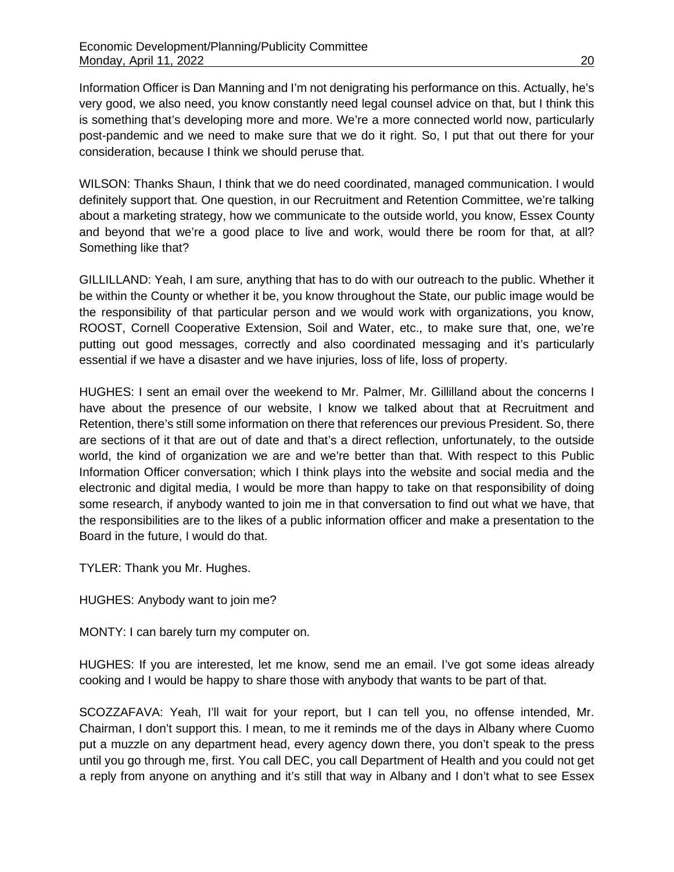Information Officer is Dan Manning and I'm not denigrating his performance on this. Actually, he's very good, we also need, you know constantly need legal counsel advice on that, but I think this is something that's developing more and more. We're a more connected world now, particularly post-pandemic and we need to make sure that we do it right. So, I put that out there for your consideration, because I think we should peruse that.

WILSON: Thanks Shaun, I think that we do need coordinated, managed communication. I would definitely support that. One question, in our Recruitment and Retention Committee, we're talking about a marketing strategy, how we communicate to the outside world, you know, Essex County and beyond that we're a good place to live and work, would there be room for that, at all? Something like that?

GILLILLAND: Yeah, I am sure, anything that has to do with our outreach to the public. Whether it be within the County or whether it be, you know throughout the State, our public image would be the responsibility of that particular person and we would work with organizations, you know, ROOST, Cornell Cooperative Extension, Soil and Water, etc., to make sure that, one, we're putting out good messages, correctly and also coordinated messaging and it's particularly essential if we have a disaster and we have injuries, loss of life, loss of property.

HUGHES: I sent an email over the weekend to Mr. Palmer, Mr. Gillilland about the concerns I have about the presence of our website, I know we talked about that at Recruitment and Retention, there's still some information on there that references our previous President. So, there are sections of it that are out of date and that's a direct reflection, unfortunately, to the outside world, the kind of organization we are and we're better than that. With respect to this Public Information Officer conversation; which I think plays into the website and social media and the electronic and digital media, I would be more than happy to take on that responsibility of doing some research, if anybody wanted to join me in that conversation to find out what we have, that the responsibilities are to the likes of a public information officer and make a presentation to the Board in the future, I would do that.

TYLER: Thank you Mr. Hughes.

HUGHES: Anybody want to join me?

MONTY: I can barely turn my computer on.

HUGHES: If you are interested, let me know, send me an email. I've got some ideas already cooking and I would be happy to share those with anybody that wants to be part of that.

SCOZZAFAVA: Yeah, I'll wait for your report, but I can tell you, no offense intended, Mr. Chairman, I don't support this. I mean, to me it reminds me of the days in Albany where Cuomo put a muzzle on any department head, every agency down there, you don't speak to the press until you go through me, first. You call DEC, you call Department of Health and you could not get a reply from anyone on anything and it's still that way in Albany and I don't what to see Essex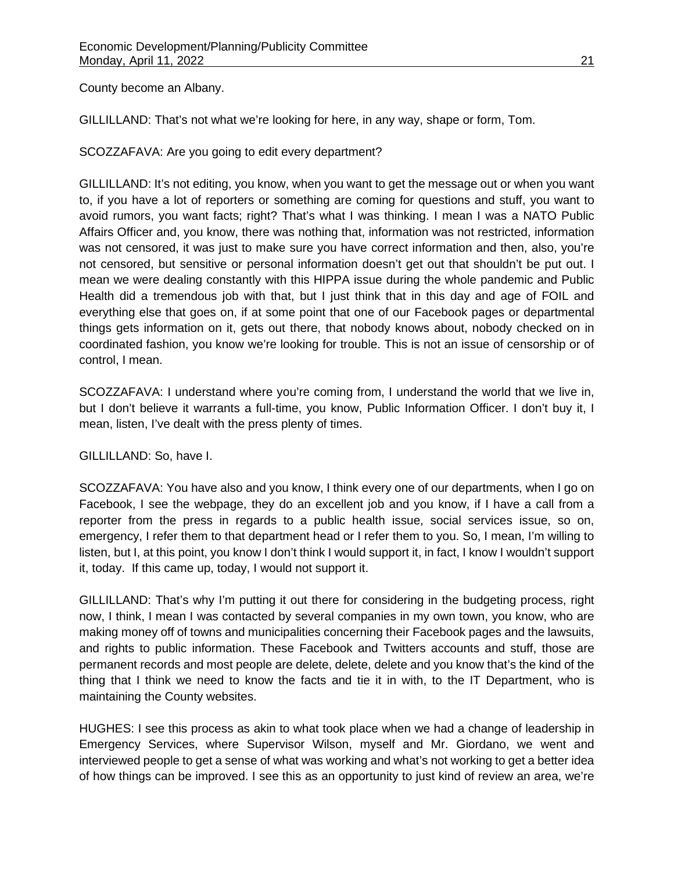County become an Albany.

GILLILLAND: That's not what we're looking for here, in any way, shape or form, Tom.

SCOZZAFAVA: Are you going to edit every department?

GILLILLAND: It's not editing, you know, when you want to get the message out or when you want to, if you have a lot of reporters or something are coming for questions and stuff, you want to avoid rumors, you want facts; right? That's what I was thinking. I mean I was a NATO Public Affairs Officer and, you know, there was nothing that, information was not restricted, information was not censored, it was just to make sure you have correct information and then, also, you're not censored, but sensitive or personal information doesn't get out that shouldn't be put out. I mean we were dealing constantly with this HIPPA issue during the whole pandemic and Public Health did a tremendous job with that, but I just think that in this day and age of FOIL and everything else that goes on, if at some point that one of our Facebook pages or departmental things gets information on it, gets out there, that nobody knows about, nobody checked on in coordinated fashion, you know we're looking for trouble. This is not an issue of censorship or of control, I mean.

SCOZZAFAVA: I understand where you're coming from, I understand the world that we live in, but I don't believe it warrants a full-time, you know, Public Information Officer. I don't buy it, I mean, listen, I've dealt with the press plenty of times.

GILLILLAND: So, have I.

SCOZZAFAVA: You have also and you know, I think every one of our departments, when I go on Facebook, I see the webpage, they do an excellent job and you know, if I have a call from a reporter from the press in regards to a public health issue, social services issue, so on, emergency, I refer them to that department head or I refer them to you. So, I mean, I'm willing to listen, but I, at this point, you know I don't think I would support it, in fact, I know I wouldn't support it, today. If this came up, today, I would not support it.

GILLILLAND: That's why I'm putting it out there for considering in the budgeting process, right now, I think, I mean I was contacted by several companies in my own town, you know, who are making money off of towns and municipalities concerning their Facebook pages and the lawsuits, and rights to public information. These Facebook and Twitters accounts and stuff, those are permanent records and most people are delete, delete, delete and you know that's the kind of the thing that I think we need to know the facts and tie it in with, to the IT Department, who is maintaining the County websites.

HUGHES: I see this process as akin to what took place when we had a change of leadership in Emergency Services, where Supervisor Wilson, myself and Mr. Giordano, we went and interviewed people to get a sense of what was working and what's not working to get a better idea of how things can be improved. I see this as an opportunity to just kind of review an area, we're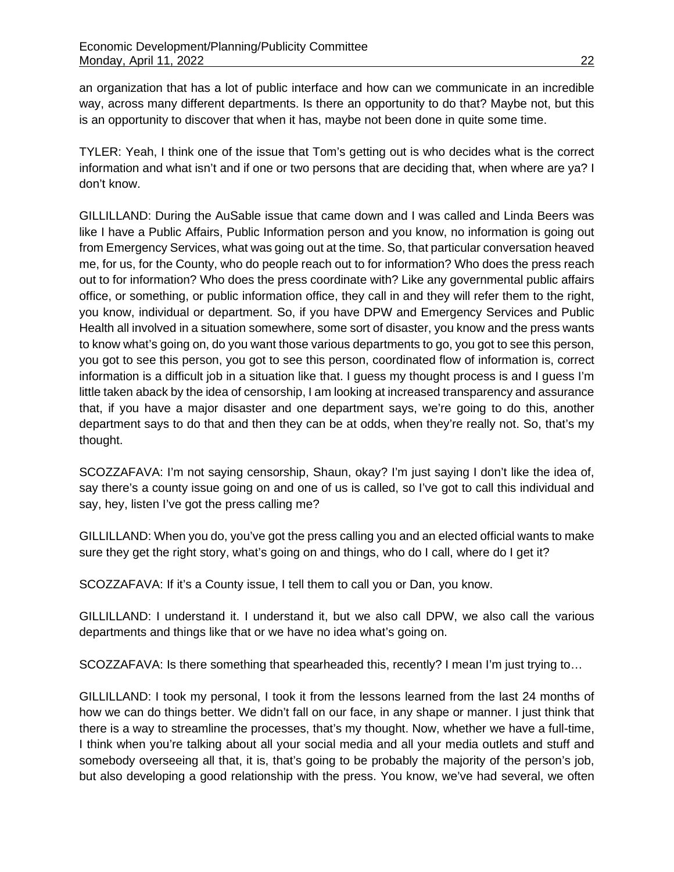an organization that has a lot of public interface and how can we communicate in an incredible way, across many different departments. Is there an opportunity to do that? Maybe not, but this is an opportunity to discover that when it has, maybe not been done in quite some time.

TYLER: Yeah, I think one of the issue that Tom's getting out is who decides what is the correct information and what isn't and if one or two persons that are deciding that, when where are ya? I don't know.

GILLILLAND: During the AuSable issue that came down and I was called and Linda Beers was like I have a Public Affairs, Public Information person and you know, no information is going out from Emergency Services, what was going out at the time. So, that particular conversation heaved me, for us, for the County, who do people reach out to for information? Who does the press reach out to for information? Who does the press coordinate with? Like any governmental public affairs office, or something, or public information office, they call in and they will refer them to the right, you know, individual or department. So, if you have DPW and Emergency Services and Public Health all involved in a situation somewhere, some sort of disaster, you know and the press wants to know what's going on, do you want those various departments to go, you got to see this person, you got to see this person, you got to see this person, coordinated flow of information is, correct information is a difficult job in a situation like that. I guess my thought process is and I guess I'm little taken aback by the idea of censorship, I am looking at increased transparency and assurance that, if you have a major disaster and one department says, we're going to do this, another department says to do that and then they can be at odds, when they're really not. So, that's my thought.

SCOZZAFAVA: I'm not saying censorship, Shaun, okay? I'm just saying I don't like the idea of, say there's a county issue going on and one of us is called, so I've got to call this individual and say, hey, listen I've got the press calling me?

GILLILLAND: When you do, you've got the press calling you and an elected official wants to make sure they get the right story, what's going on and things, who do I call, where do I get it?

SCOZZAFAVA: If it's a County issue, I tell them to call you or Dan, you know.

GILLILLAND: I understand it. I understand it, but we also call DPW, we also call the various departments and things like that or we have no idea what's going on.

SCOZZAFAVA: Is there something that spearheaded this, recently? I mean I'm just trying to…

GILLILLAND: I took my personal, I took it from the lessons learned from the last 24 months of how we can do things better. We didn't fall on our face, in any shape or manner. I just think that there is a way to streamline the processes, that's my thought. Now, whether we have a full-time, I think when you're talking about all your social media and all your media outlets and stuff and somebody overseeing all that, it is, that's going to be probably the majority of the person's job, but also developing a good relationship with the press. You know, we've had several, we often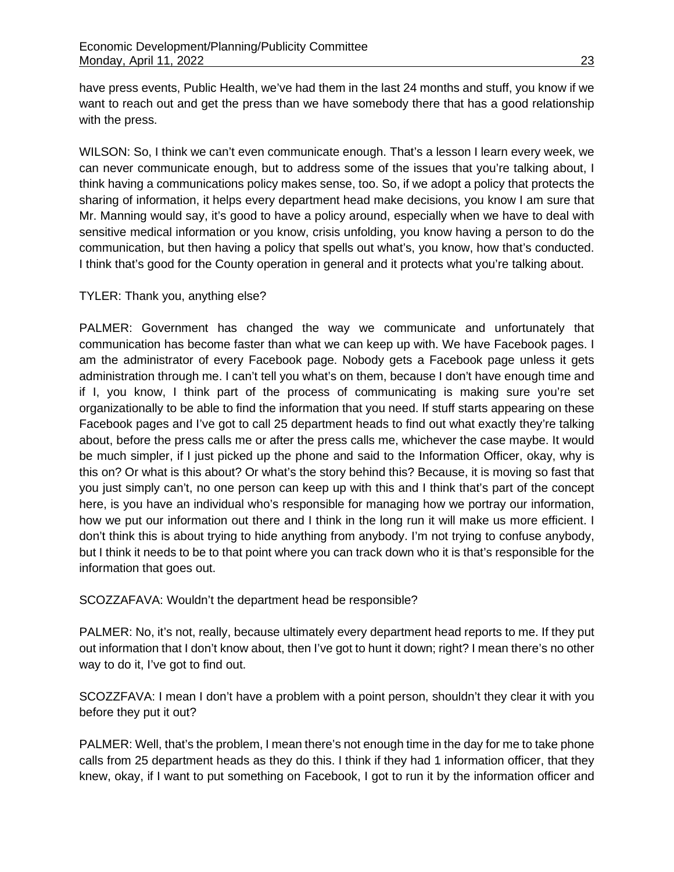have press events, Public Health, we've had them in the last 24 months and stuff, you know if we want to reach out and get the press than we have somebody there that has a good relationship with the press.

WILSON: So, I think we can't even communicate enough. That's a lesson I learn every week, we can never communicate enough, but to address some of the issues that you're talking about, I think having a communications policy makes sense, too. So, if we adopt a policy that protects the sharing of information, it helps every department head make decisions, you know I am sure that Mr. Manning would say, it's good to have a policy around, especially when we have to deal with sensitive medical information or you know, crisis unfolding, you know having a person to do the communication, but then having a policy that spells out what's, you know, how that's conducted. I think that's good for the County operation in general and it protects what you're talking about.

# TYLER: Thank you, anything else?

PALMER: Government has changed the way we communicate and unfortunately that communication has become faster than what we can keep up with. We have Facebook pages. I am the administrator of every Facebook page. Nobody gets a Facebook page unless it gets administration through me. I can't tell you what's on them, because I don't have enough time and if I, you know, I think part of the process of communicating is making sure you're set organizationally to be able to find the information that you need. If stuff starts appearing on these Facebook pages and I've got to call 25 department heads to find out what exactly they're talking about, before the press calls me or after the press calls me, whichever the case maybe. It would be much simpler, if I just picked up the phone and said to the Information Officer, okay, why is this on? Or what is this about? Or what's the story behind this? Because, it is moving so fast that you just simply can't, no one person can keep up with this and I think that's part of the concept here, is you have an individual who's responsible for managing how we portray our information, how we put our information out there and I think in the long run it will make us more efficient. I don't think this is about trying to hide anything from anybody. I'm not trying to confuse anybody, but I think it needs to be to that point where you can track down who it is that's responsible for the information that goes out.

SCOZZAFAVA: Wouldn't the department head be responsible?

PALMER: No, it's not, really, because ultimately every department head reports to me. If they put out information that I don't know about, then I've got to hunt it down; right? I mean there's no other way to do it, I've got to find out.

SCOZZFAVA: I mean I don't have a problem with a point person, shouldn't they clear it with you before they put it out?

PALMER: Well, that's the problem, I mean there's not enough time in the day for me to take phone calls from 25 department heads as they do this. I think if they had 1 information officer, that they knew, okay, if I want to put something on Facebook, I got to run it by the information officer and